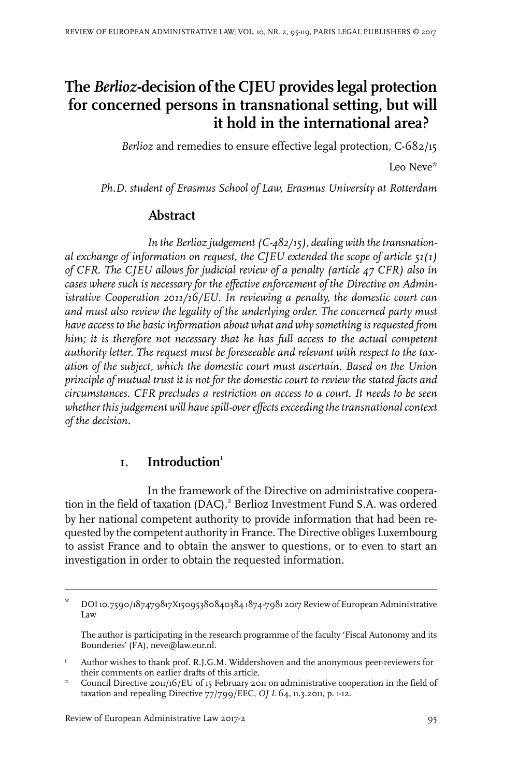# **The** *Berlioz***-decision of the CJEU provides legal protection for concerned persons in transnational setting, but will it hold in the international area?**

*Berlioz* and remedies to ensure effective legal protection, C-682/15

Leo Neve\*

*Ph.D. student of Erasmus School of Law, Erasmus University at Rotterdam*

# **Abstract**

*In* the Berlioz judgement (C-482/15), dealing with the transnation*al exchange of information on request, the CJEU extended the scope of article 51(1) of CFR. The CJEU allows for judicial review of a penalty (article 47 CFR) also in cases where such is necessary for the effective enforcement of the Directive on Administrative Cooperation 2011/16/EU. In reviewing a penalty, the domestic court can and must also review the legality of the underlying order. The concerned party must have access to the basic information about what and why something is requested from him; it is therefore not necessary that he has full access to the actual competent authority letter. The request must be foreseeable and relevant with respect to the taxation of the subject, which the domestic court must ascertain. Based on the Union principle of mutual trust it is not for the domestic court to review the stated facts and circumstances. CFR precludes a restriction on access to a court. It needs to be seen whether this judgement will havespill-overeffectsexceeding thetransnational context of the decision.*

# **1. Introduction**<sup>1</sup>

In the framework of the Directive on administrative cooperation in the field of taxation (DAC),<sup>2</sup> Berlioz Investment Fund S.A. was ordered by her national competent authority to provide information that had been requested by the competent authority in France. The Directive obliges Luxembourg to assist France and to obtain the answer to questions, or to even to start an investigation in order to obtain the requested information.

DOI10.7590/187479817X15095380840384 1874-7981 2017 Review of European Administrative Law \*

The author is participating in the research programme of the faculty 'Fiscal Autonomy and its Bounderies' (FA), neve@law.eur.nl.

Author wishes to thank prof. R.J.G.M. Widdershoven and the anonymous peer-reviewers for their comments on earlier drafts of this article. 1

Council Directive 2011/16/EU of 15 February 2011 on administrative cooperation in the field of taxation and repealing Directive 77/799/EEC, *OJ L* 64, 11.3.2011, p. 1-12. 2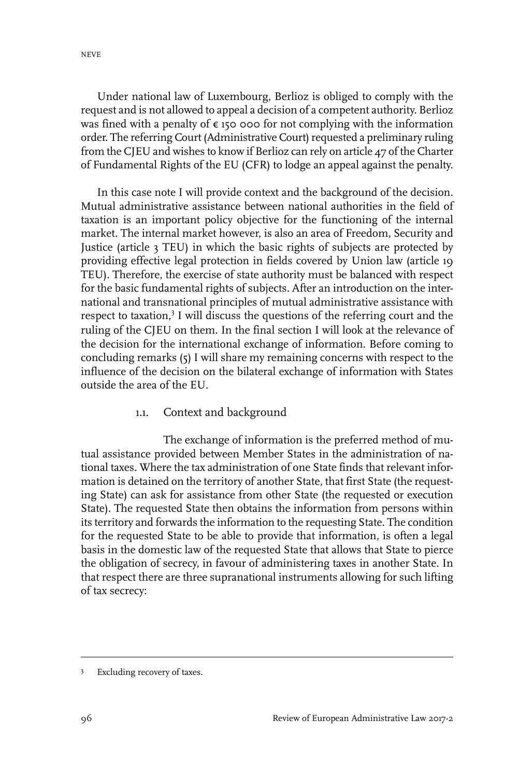Under national law of Luxembourg, Berlioz is obliged to comply with the request and is not allowed to appeal a decision of a competent authority. Berlioz was fined with a penalty of  $\epsilon$  150 000 for not complying with the information order. The referring Court (Administrative Court) requested a preliminary ruling from the CJEU and wishes to know if Berlioz can rely on article 47 of the Charter of Fundamental Rights of the EU (CFR) to lodge an appeal against the penalty.

In this case note I will provide context and the background of the decision. Mutual administrative assistance between national authorities in the field of taxation is an important policy objective for the functioning of the internal market. The internal market however, is also an area of Freedom, Security and Justice (article 3 TEU) in which the basic rights of subjects are protected by providing effective legal protection in fields covered by Union law (article 19 TEU). Therefore, the exercise of state authority must be balanced with respect for the basic fundamental rights of subjects. After an introduction on the international and transnational principles of mutual administrative assistance with respect to taxation,<sup>3</sup> I will discuss the questions of the referring court and the ruling of the CJEU on them. In the final section I will look at the relevance of the decision for the international exchange of information. Before coming to concluding remarks (5) I will share my remaining concerns with respect to the influence of the decision on the bilateral exchange of information with States outside the area of the EU.

#### 1.1. Context and background

The exchange of information is the preferred method of mutual assistance provided between Member States in the administration of national taxes. Where the tax administration of one State finds that relevant information is detained on the territory of another State, that first State (the requesting State) can ask for assistance from other State (the requested or execution State). The requested State then obtains the information from persons within its territory and forwards the information to the requesting State. The condition for the requested State to be able to provide that information, is often a legal basis in the domestic law of the requested State that allows that State to pierce the obligation of secrecy, in favour of administering taxes in another State. In that respect there are three supranational instruments allowing for such lifting of tax secrecy:

<sup>&</sup>lt;sup>3</sup> Excluding recovery of taxes.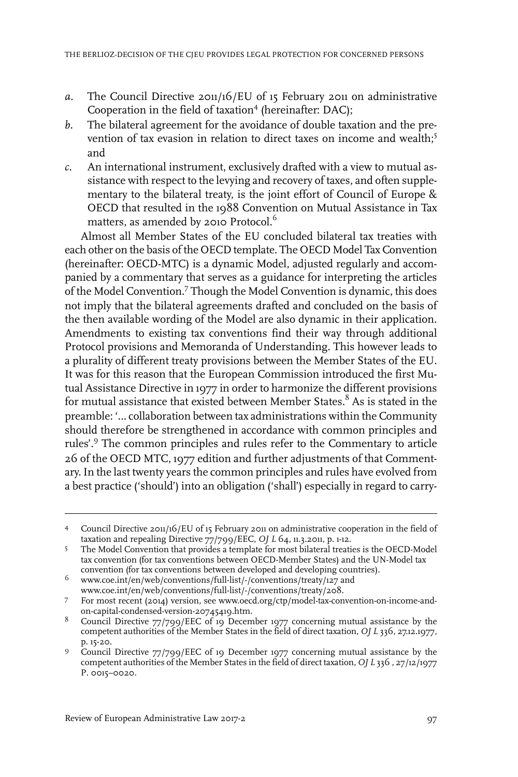- *a.* The Council Directive 2011/16/EU of 15 February 2011 on administrative Cooperation in the field of taxation<sup>4</sup> (hereinafter: DAC);
- *b.* The bilateral agreement for the avoidance of double taxation and the prevention of tax evasion in relation to direct taxes on income and wealth:<sup>5</sup> and
- *c.* An international instrument, exclusively drafted with a view to mutual assistance with respect to the levying and recovery of taxes, and often supplementary to the bilateral treaty, is the joint effort of Council of Europe & OECD that resulted in the 1988 Convention on Mutual Assistance in Tax matters, as amended by 2010 Protocol. $^6$

Almost all Member States of the EU concluded bilateral tax treaties with each other on the basis of the OECD template. The OECD Model Tax Convention (hereinafter: OECD-MTC) is a dynamic Model, adjusted regularly and accompanied by a commentary that serves as a guidance for interpreting the articles of the Model Convention.<sup>7</sup> Though the Model Convention is dynamic, this does not imply that the bilateral agreements drafted and concluded on the basis of the then available wording of the Model are also dynamic in their application. Amendments to existing tax conventions find their way through additional Protocol provisions and Memoranda of Understanding. This however leads to a plurality of different treaty provisions between the Member States of the EU. It was for this reason that the European Commission introduced the first Mutual Assistance Directive in 1977 in order to harmonize the different provisions for mutual assistance that existed between Member States.<sup>8</sup> As is stated in the preamble: '… collaboration between tax administrations within the Community should therefore be strengthened in accordance with common principles and rules'.<sup>9</sup> The common principles and rules refer to the Commentary to article 26 of the OECD MTC, 1977 edition and further adjustments of that Commentary.In the last twenty years the common principles and rules have evolved from a best practice ('should') into an obligation ('shall') especially in regard to carry-

Council Directive 2011/16/EU of 15 February 2011 on administrative cooperation in the field of 4 taxation and repealing Directive 77/799/EEC, *OJ L* 64, 11.3.2011, p. 1-12.

The Model Convention that provides a template for most bilateral treaties is the OECD-Model tax convention (for tax conventions between OECD-Member States) and the UN-Model tax convention (for tax conventions between developed and developing countries). 5

www.coe.int/en/web/conventions/full-list/-/conventions/treaty/127 and <sup>6</sup> www.coe.int/en/web/conventions/full-list/-/conventions/treaty/208.

For most recent (2014) version, see www.oecd.org/ctp/model-tax-convention-on-income-and-7 on-capital-condensed-version-20745419.htm.

<sup>&</sup>lt;sup>8</sup> Council Directive 77/799/EEC of 19 December 1977 concerning mutual assistance by the competent authorities of the Member States in the field of direct taxation, *OJ L* 336, 27.12.1977, p. 15-20.

Council Directive 77/799/EEC of 19 December 1977 concerning mutual assistance by the 9 competent authorities of the Member States in the field of direct taxation, *OJ L* 336 , 27/12/1977 P. 0015–0020.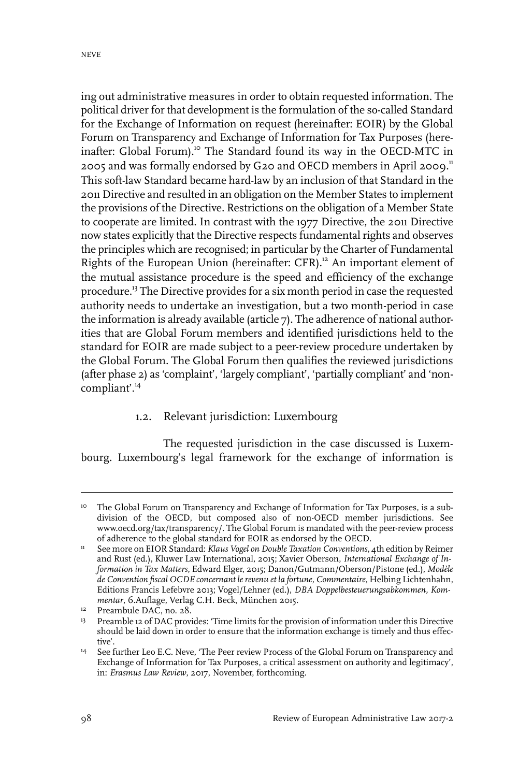ing out administrative measures in order to obtain requested information. The political driver for that development is the formulation of the so-called Standard for the Exchange of Information on request (hereinafter: EOIR) by the Global Forum on Transparency and Exchange of Information for Tax Purposes (hereinafter: Global Forum).<sup>10</sup> The Standard found its way in the OECD-MTC in 2005 and was formally endorsed by G20 and OECD members in April 2009.<sup>11</sup> This soft-law Standard became hard-law by an inclusion of that Standard in the 2011 Directive and resulted in an obligation on the Member States to implement the provisions of the Directive. Restrictions on the obligation of a Member State to cooperate are limited. In contrast with the 1977 Directive, the 2011 Directive now states explicitly that the Directive respects fundamental rights and observes the principles which are recognised; in particular by the Charter of Fundamental Rights of the European Union (hereinafter: CFR).<sup>12</sup> An important element of the mutual assistance procedure is the speed and efficiency of the exchange procedure.<sup>13</sup> The Directive provides for a six month period in case the requested authority needs to undertake an investigation, but a two month-period in case the information is already available (article 7). The adherence of national authorities that are Global Forum members and identified jurisdictions held to the standard for EOIR are made subject to a peer-review procedure undertaken by the Global Forum. The Global Forum then qualifies the reviewed jurisdictions (after phase 2) as 'complaint', 'largely compliant', 'partially compliant' and 'noncompliant'.<sup>14</sup>

#### 1.2. Relevant jurisdiction: Luxembourg

The requested jurisdiction in the case discussed is Luxembourg. Luxembourg's legal framework for the exchange of information is

<sup>&</sup>lt;sup>10</sup> The Global Forum on Transparency and Exchange of Information for Tax Purposes, is a subdivision of the OECD, but composed also of non-OECD member jurisdictions. See www.oecd.org/tax/transparency/. The Global Forum is mandated with the peer-review process of adherence to the global standard for EOIR as endorsed by the OECD.

See more on EIOR Standard: *Klaus Vogel on Double Taxation Conventions*, 4th edition by Reimer and Rust (ed.), Kluwer Law International, 2015; Xavier Oberson, *International Exchange of In-*11 *formation in Tax Matters*, Edward Elger, 2015; Danon/Gutmann/Oberson/Pistone (ed.), *Modèle de Convention fiscal OCDE concernant le revenu et la fortune, Commentaire*, Helbing Lichtenhahn, Editions Francis Lefebvre 2013; Vogel/Lehner (ed.), *DBA Doppelbesteuerungsabkommen, Kommentar*, 6.Auflage, Verlag C.H. Beck, München 2015.

 $P$ reambule DAC, no. 28.

<sup>&</sup>lt;sup>13</sup> Preamble 12 of DAC provides: 'Time limits for the provision of information under this Directive should be laid down in order to ensure that the information exchange is timely and thus effective'.

See further Leo E.C. Neve, 'The Peer review Process of the Global Forum on Transparency and Exchange of Information for Tax Purposes, a critical assessment on authority and legitimacy', in: *Erasmus Law Review*, 2017, November, forthcoming. 14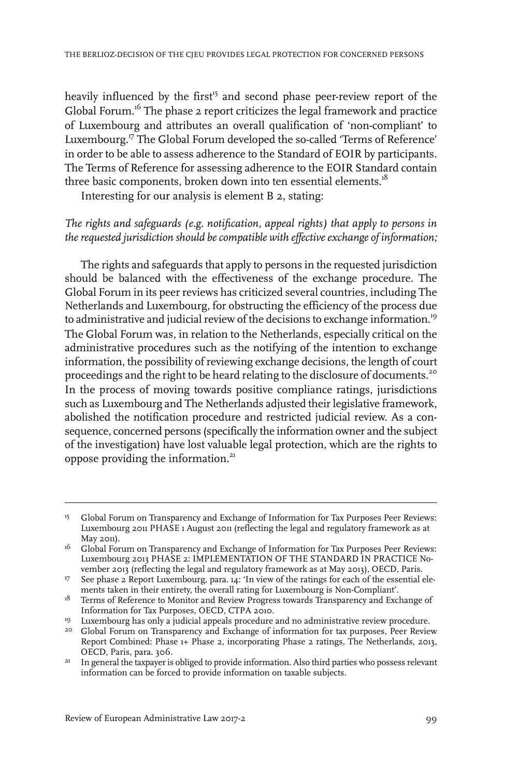heavily influenced by the first<sup>15</sup> and second phase peer-review report of the Global Forum.<sup>16</sup> The phase 2 report criticizes the legal framework and practice of Luxembourg and attributes an overall qualification of 'non-compliant' to Luxembourg.<sup>17</sup> The Global Forum developed the so-called 'Terms of Reference' in order to be able to assess adherence to the Standard of EOIR by participants. The Terms of Reference for assessing adherence to the EOIR Standard contain three basic components, broken down into ten essential elements.<sup>18</sup>

Interesting for our analysis is element B 2, stating:

#### *The rights and safeguards (e.g. notification, appeal rights) that apply to persons in the requested jurisdiction should be compatible with effective exchange of information;*

The rights and safeguards that apply to persons in the requested jurisdiction should be balanced with the effectiveness of the exchange procedure. The Global Forum in its peer reviews has criticized several countries, including The Netherlands and Luxembourg, for obstructing the efficiency of the process due to administrative and judicial review of the decisions to exchange information.<sup>19</sup> The Global Forum was, in relation to the Netherlands, especially critical on the administrative procedures such as the notifying of the intention to exchange information, the possibility of reviewing exchange decisions, the length of court proceedings and the right to be heard relating to the disclosure of documents.<sup>20</sup> In the process of moving towards positive compliance ratings, jurisdictions such as Luxembourg and The Netherlands adjusted their legislative framework, abolished the notification procedure and restricted judicial review. As a consequence, concerned persons (specifically the information owner and the subject of the investigation) have lost valuable legal protection, which are the rights to oppose providing the information.<sup>21</sup>

<sup>&</sup>lt;sup>15</sup> Global Forum on Transparency and Exchange of Information for Tax Purposes Peer Reviews: Luxembourg 2011 PHASE 1 August 2011 (reflecting the legal and regulatory framework as at May 2011).

 $^{16}$   $\,$  Global Forum on Transparency and Exchange of Information for Tax Purposes Peer Reviews: Luxembourg 2013 PHASE 2: IMPLEMENTATION OF THE STANDARD IN PRACTICE November 2013 (reflecting the legal and regulatory framework as at May 2013), OECD, Paris.

<sup>&</sup>lt;sup>17</sup> See phase 2 Report Luxembourg, para. 14: 'In view of the ratings for each of the essential elements taken in their entirety, the overall rating for Luxembourg is Non-Compliant'.

 $18$  Terms of Reference to Monitor and Review Progress towards Transparency and Exchange of Information for Tax Purposes, OECD, CTPA 2010.

<sup>&</sup>lt;sup>19</sup> Luxembourg has only a judicial appeals procedure and no administrative review procedure.

<sup>&</sup>lt;sup>20</sup> Global Forum on Transparency and Exchange of information for tax purposes, Peer Review Report Combined: Phase 1+ Phase 2, incorporating Phase 2 ratings, The Netherlands, 2013, OECD, Paris, para. 306.

In general the taxpayer is obliged to provide information. Also third parties who possess relevant information can be forced to provide information on taxable subjects. 21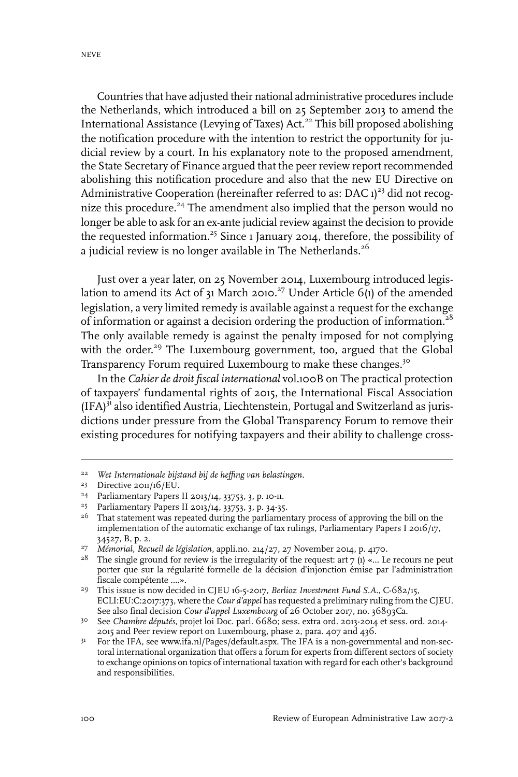Countries that have adjusted their national administrative procedures include the Netherlands, which introduced a bill on 25 September 2013 to amend the International Assistance (Levying of Taxes) Act.<sup>22</sup> This bill proposed abolishing the notification procedure with the intention to restrict the opportunity for judicial review by a court. In his explanatory note to the proposed amendment, the State Secretary of Finance argued that the peer review report recommended abolishing this notification procedure and also that the new EU Directive on Administrative Cooperation (hereinafter referred to as: DAC  $1)^{23}$  did not recognize this procedure.<sup>24</sup> The amendment also implied that the person would no longer be able to ask for an ex-ante judicial review against the decision to provide the requested information.<sup>25</sup> Since 1 January 2014, therefore, the possibility of a judicial review is no longer available in The Netherlands.<sup>26</sup>

Just over a year later, on 25 November 2014, Luxembourg introduced legislation to amend its Act of 31 March 2010.<sup>27</sup> Under Article 6(1) of the amended legislation, a very limited remedy is available against a request for the exchange of information or against a decision ordering the production of information.<sup>28</sup> The only available remedy is against the penalty imposed for not complying with the order.<sup>29</sup> The Luxembourg government, too, argued that the Global Transparency Forum required Luxembourg to make these changes.<sup>30</sup>

In the *Cahier de droit fiscal international* vol.100B on The practical protection of taxpayers' fundamental rights of 2015, the International Fiscal Association (IFA)<sup>31</sup> also identified Austria, Liechtenstein, Portugal and Switzerland as jurisdictions under pressure from the Global Transparency Forum to remove their existing procedures for notifying taxpayers and their ability to challenge cross-

*Wet Internationale bijstand bij de heffing van belastingen*. 22

 $23$  Directive 2011/16/EU.

Parliamentary Papers II 2013/14, 33753, 3, p. 10-11. <sup>24</sup>

<sup>&</sup>lt;sup>25</sup> Parliamentary Papers II 2013/14, 33753, 3, p. 34-35.

 $2<sup>6</sup>$  That statement was repeated during the parliamentary process of approving the bill on the implementation of the automatic exchange of tax rulings, Parliamentary Papers I 2016/17, 34527, B, p. 2.

*Mémorial, Recueil de législation*, appli.no. 214/27, 27 November 2014, p. 4170. <sup>27</sup>

<sup>&</sup>lt;sup>28</sup> The single ground for review is the irregularity of the request: art  $7 \text{ (1)} \text{ ... }$  Le recours ne peut porter que sur la régularité formelle de la décision d'injonction émise par l'administration fiscale compétente ….».

This issue is now decided in CJEU 16-5-2017, *Berlioz Investment Fund S.A.*, C-682/15, 29 ECLI:EU:C:2017:373, where the *Cour d'appel* has requested a preliminary ruling from the CJEU. See also final decision *Cour d'appel Luxembourg* of 26 October 2017, no. 36893Ca.

See *Chambre députés*, projet loi Doc. parl. 6680; sess. extra ord. 2013-2014 et sess. ord. 2014- 30 2015 and Peer review report on Luxembourg, phase 2, para. 407 and 436.

<sup>&</sup>lt;sup>31</sup> For the IFA, see www.ifa.nl/Pages/default.aspx. The IFA is a non-governmental and non-sectoral international organization that offers a forum for experts from different sectors of society to exchange opinions on topics of international taxation with regard for each other's background and responsibilities.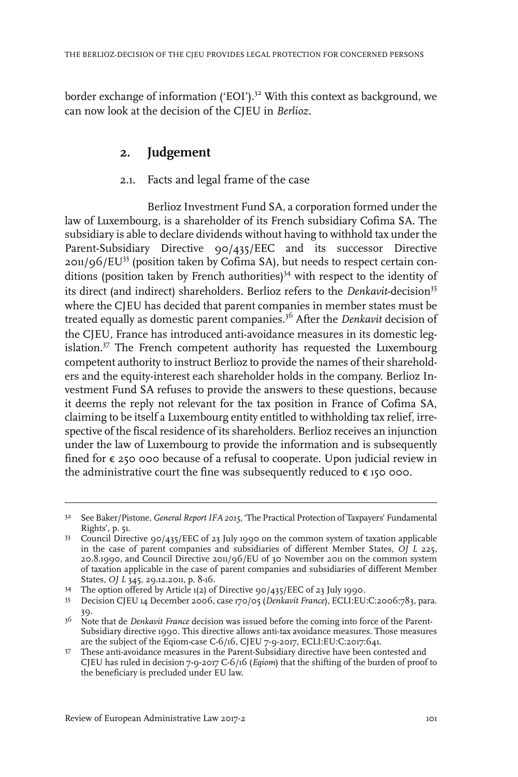border exchange of information ('EOI').<sup>32</sup> With this context as background, we can now look at the decision of the CJEU in *Berlioz*.

# **2. Judgement**

#### 2.1. Facts and legal frame of the case

Berlioz Investment Fund SA, a corporation formed under the law of Luxembourg, is a shareholder of its French subsidiary Cofima SA. The subsidiary is able to declare dividends without having to withhold tax under the Parent-Subsidiary Directive 90/435/EEC and its successor Directive  $201/96$ /EU<sup>33</sup> (position taken by Cofima SA), but needs to respect certain conditions (position taken by French authorities)<sup>34</sup> with respect to the identity of its direct (and indirect) shareholders. Berlioz refers to the *Denkavit*-decision<sup>35</sup> where the CJEU has decided that parent companies in member states must be treated equally as domestic parent companies.<sup>36</sup> After the *Denkavit* decision of the CJEU, France has introduced anti-avoidance measures in its domestic legislation. $37$  The French competent authority has requested the Luxembourg competent authority to instruct Berlioz to provide the names of their shareholders and the equity-interest each shareholder holds in the company. Berlioz Investment Fund SA refuses to provide the answers to these questions, because it deems the reply not relevant for the tax position in France of Cofima SA, claiming to be itself a Luxembourg entity entitled to withholding tax relief, irrespective of the fiscal residence of its shareholders. Berlioz receives an injunction under the law of Luxembourg to provide the information and is subsequently fined for € 250 000 because of a refusal to cooperate. Upon judicial review in the administrative court the fine was subsequently reduced to  $\epsilon$  150 000.

<sup>&</sup>lt;sup>32</sup> See Baker/Pistone, *General Report IFA* 2015, 'The Practical Protection of Taxpayers' Fundamental Rights', p. 51.

Council Directive 90/435/EEC of 23 July 1990 on the common system of taxation applicable 33 in the case of parent companies and subsidiaries of different Member States, *OJ L* 225, 20.8.1990, and Council Directive 2011/96/EU of 30 November 2011 on the common system of taxation applicable in the case of parent companies and subsidiaries of different Member States, *OJ L* 345, 29.12.2011, p. 8-16.

<sup>&</sup>lt;sup>34</sup> The option offered by Article 1(2) of Directive 90/435/EEC of 23 July 1990.

Decision CJEU 14 December 2006, case 170/05 (*Denkavit France*), ECLI:EU:C:2006:783, para. 35 39.

<sup>&</sup>lt;sup>36</sup> Note that de *Denkavit France* decision was issued before the coming into force of the Parent-Subsidiary directive 1990. This directive allows anti-tax avoidance measures. Those measures are the subject of the Eqiom-case C-6/16, CJEU 7-9-2017, ECLI:EU:C:2017:641.

These anti-avoidance measures in the Parent-Subsidiary directive have been contested and CJEU has ruled in decision 7-9-2017 C-6/16 (*Eqiom*) that the shifting of the burden of proof to the beneficiary is precluded under EU law. 37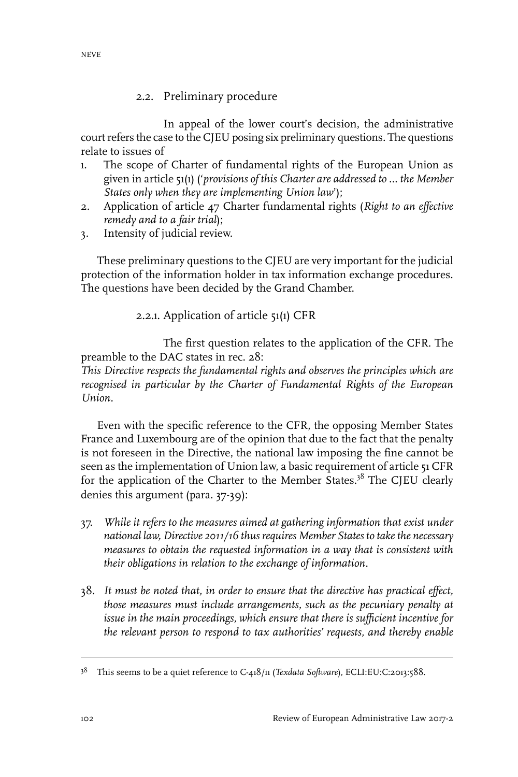## 2.2. Preliminary procedure

In appeal of the lower court's decision, the administrative court refers the case to the CJEU posing six preliminary questions. The questions relate to issues of

- 1. The scope of Charter of fundamental rights of the European Union as given in article 51(1) ('*provisions of this Charter are addressed to … the Member States only when they are implementing Union law*');
- 2. Application of article 47 Charter fundamental rights (*Right to an effective remedy and to a fair trial*);
- 3. Intensity of judicial review.

These preliminary questions to the CJEU are very important for the judicial protection of the information holder in tax information exchange procedures. The questions have been decided by the Grand Chamber.

# 2.2.1. Application of article 51(1) CFR

The first question relates to the application of the CFR. The preamble to the DAC states in rec. 28:

*This Directive respects the fundamental rights and observes the principles which are recognised in particular by the Charter of Fundamental Rights of the European Union.*

Even with the specific reference to the CFR, the opposing Member States France and Luxembourg are of the opinion that due to the fact that the penalty is not foreseen in the Directive, the national law imposing the fine cannot be seen as the implementation of Union law, a basic requirement of article 51 CFR for the application of the Charter to the Member States.<sup>38</sup> The CJEU clearly denies this argument (para. 37-39):

- 37. *While it refers to the measures aimed at gathering information that exist under national law, Directive 2011/16 thus requires Member States to takethe necessary measures to obtain the requested information in a way that is consistent with their obligations in relation to the exchange of information.*
- 38. *It must be noted that, in order to ensure that the directive has practical effect, those measures must include arrangements, such as the pecuniary penalty at issue in the main proceedings, which ensure that there is sufficient incentive for the relevant person to respond to tax authorities' requests, and thereby enable*

<sup>&</sup>lt;sup>38</sup> This seems to be a quiet reference to C-418/11 (*Texdata Software*), ECLI:EU:C:2013:588.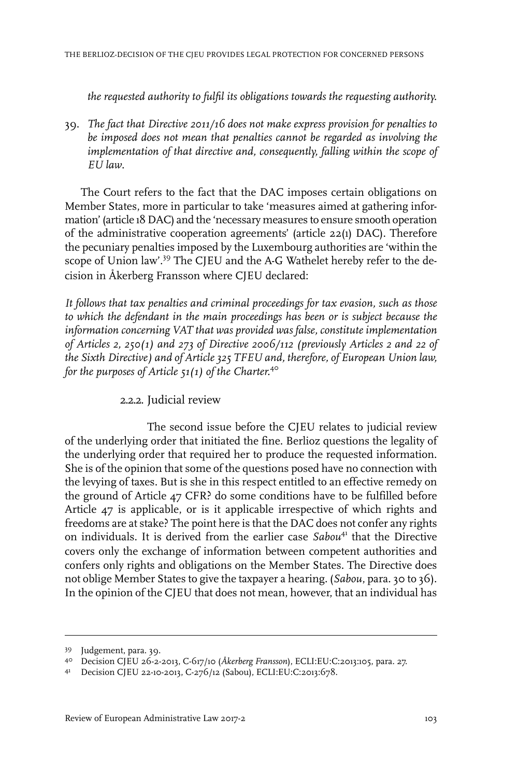*the requested authority to fulfil its obligations towards the requesting authority.*

39. *The fact that Directive 2011/16 does not make express provision for penalties to be imposed does not mean that penalties cannot be regarded as involving the implementation of that directive and, consequently, falling within the scope of EU law*.

The Court refers to the fact that the DAC imposes certain obligations on Member States, more in particular to take 'measures aimed at gathering information' (article 18 DAC) and the 'necessary measures to ensure smooth operation of the administrative cooperation agreements' (article 22(1) DAC). Therefore the pecuniary penalties imposed by the Luxembourg authorities are 'within the scope of Union law'.<sup>39</sup> The CJEU and the A-G Wathelet hereby refer to the decision in Åkerberg Fransson where CJEU declared:

*It follows that tax penalties and criminal proceedings for tax evasion, such as those to which the defendant in the main proceedings has been or is subject because the information concerning VAT that was provided was false, constitute implementation of Articles 2, 250(1) and 273 of Directive 2006/112 (previously Articles 2 and 22 of the Sixth Directive) and of Article 325 TFEU and, therefore, of European Union law, for the purposes of Article 51(1) of the Charter.* 40

### 2.2.2. Judicial review

The second issue before the CJEU relates to judicial review of the underlying order that initiated the fine. Berlioz questions the legality of the underlying order that required her to produce the requested information. She is of the opinion that some of the questions posed have no connection with the levying of taxes. But is she in this respect entitled to an effective remedy on the ground of Article 47 CFR? do some conditions have to be fulfilled before Article 47 is applicable, or is it applicable irrespective of which rights and freedoms are at stake? The point here is that the DAC does not confer any rights on individuals. It is derived from the earlier case *Sabou*<sup>41</sup> that the Directive covers only the exchange of information between competent authorities and confers only rights and obligations on the Member States. The Directive does not oblige Member States to give the taxpayer a hearing. (*Sabou*, para. 30 to 36). In the opinion of the CJEU that does not mean, however, that an individual has

<sup>39</sup> Judgement, para. 39.

Decision CJEU 26-2-2013, C-617/10 (*Åkerberg Fransson*), ECLI:EU:C:2013:105, para. 27. 40

Decision CJEU 22-10-2013, C-276/12 (Sabou), ECLI:EU:C:2013:678. <sup>41</sup>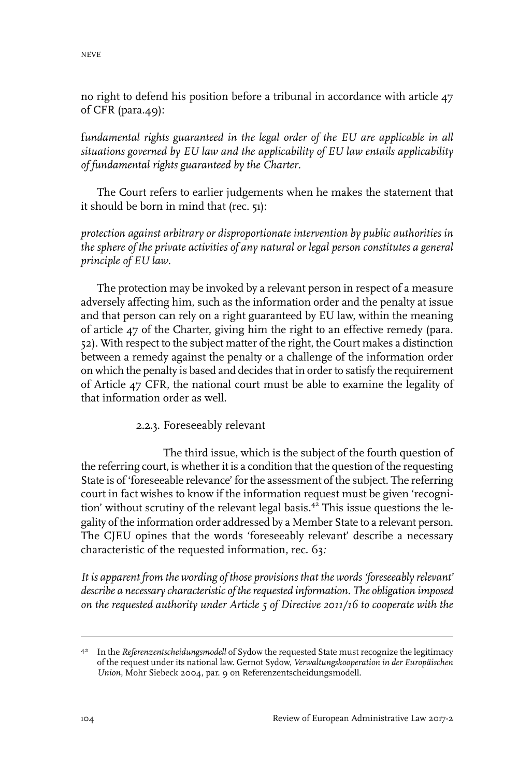no right to defend his position before a tribunal in accordance with article 47 of CFR (para.49):

f*undamental rights guaranteed in the legal order of the EU are applicable in all situations governed by EU law and the applicability of EU law entails applicability of fundamental rights guaranteed by the Charter*.

The Court refers to earlier judgements when he makes the statement that it should be born in mind that (rec. 51):

*protection against arbitrary or disproportionate intervention by public authorities in the sphere of the private activities of any natural or legal person constitutes a general principle of EU law*.

The protection may be invoked by a relevant person in respect of a measure adversely affecting him, such as the information order and the penalty at issue and that person can rely on a right guaranteed by EU law, within the meaning of article 47 of the Charter, giving him the right to an effective remedy (para. 52). With respect to the subject matter of the right, the Court makes a distinction between a remedy against the penalty or a challenge of the information order on which the penalty is based and decides that in order to satisfy the requirement of Article 47 CFR, the national court must be able to examine the legality of that information order as well.

2.2.3. Foreseeably relevant

The third issue, which is the subject of the fourth question of the referring court, is whether it is a condition that the question of the requesting State is of 'foreseeable relevance' for the assessment of the subject. The referring court in fact wishes to know if the information request must be given 'recognition' without scrutiny of the relevant legal basis.<sup>42</sup> This issue questions the legality of the information order addressed by a Member State to a relevant person. The CJEU opines that the words 'foreseeably relevant' describe a necessary characteristic of the requested information, rec. 63*:*

*It is apparent from the wording of those provisions that the words 'foreseeably relevant' describe a necessary characteristic of therequested information. The obligation imposed on the requested authority under Article 5 of Directive 2011/16 to cooperate with the*

<sup>&</sup>lt;sup>42</sup> In the *Referenzentscheidungsmodell* of Sydow the requested State must recognize the legitimacy of the request under its national law. Gernot Sydow, *Verwaltungskooperation in der Europäischen Union*, Mohr Siebeck 2004, par. 9 on Referenzentscheidungsmodell.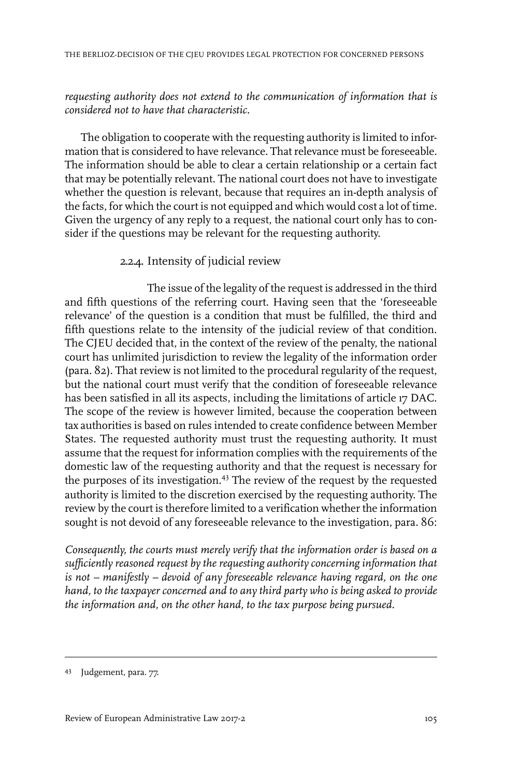#### *requesting authority does not extend to the communication of information that is considered not to have that characteristic.*

The obligation to cooperate with the requesting authority is limited to information that is considered to have relevance. That relevance must be foreseeable. The information should be able to clear a certain relationship or a certain fact that may be potentially relevant. The national court does not have to investigate whether the question is relevant, because that requires an in-depth analysis of the facts, for which the court is not equipped and which would cost a lot of time. Given the urgency of any reply to a request, the national court only has to consider if the questions may be relevant for the requesting authority.

#### 2.2.4. Intensity of judicial review

The issue of the legality of the request is addressed in the third and fifth questions of the referring court. Having seen that the 'foreseeable relevance' of the question is a condition that must be fulfilled, the third and fifth questions relate to the intensity of the judicial review of that condition. The CJEU decided that, in the context of the review of the penalty, the national court has unlimited jurisdiction to review the legality of the information order (para. 82). That review is not limited to the procedural regularity of the request, but the national court must verify that the condition of foreseeable relevance has been satisfied in all its aspects, including the limitations of article 17 DAC. The scope of the review is however limited, because the cooperation between tax authorities is based on rules intended to create confidence between Member States. The requested authority must trust the requesting authority. It must assume that the request for information complies with the requirements of the domestic law of the requesting authority and that the request is necessary for the purposes of its investigation.<sup>43</sup> The review of the request by the requested authority is limited to the discretion exercised by the requesting authority. The review by the court is therefore limited to a verification whether the information sought is not devoid of any foreseeable relevance to the investigation, para. 86:

*Consequently, the courts must merely verify that the information order is based on a sufficiently reasoned request by the requesting authority concerning information that is not – manifestly – devoid of any foreseeable relevance having regard, on the one hand, to the taxpayer concerned and to any third party who is being asked to provide the information and, on the other hand, to the tax purpose being pursued.*

<sup>43</sup> Judgement, para. 77.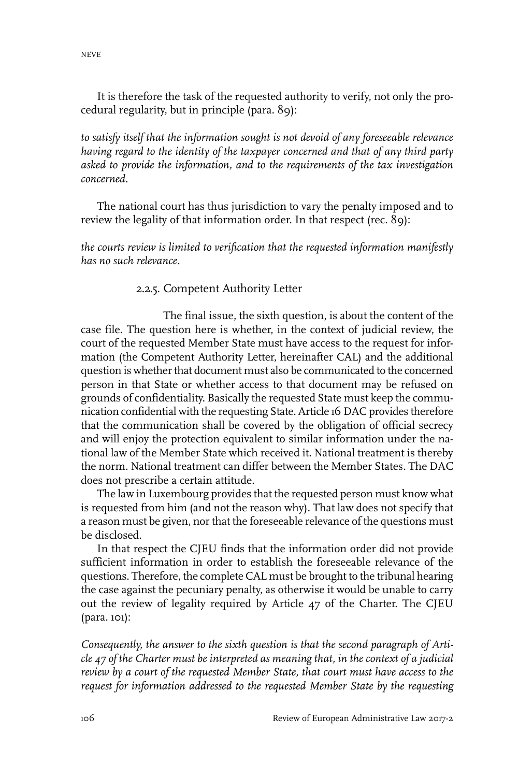It is therefore the task of the requested authority to verify, not only the procedural regularity, but in principle (para. 89):

*to satisfy itself that the information sought is not devoid of any foreseeable relevance having regard to the identity of the taxpayer concerned and that of any third party asked to provide the information, and to the requirements of the tax investigation concerned.*

The national court has thus jurisdiction to vary the penalty imposed and to review the legality of that information order. In that respect (rec. 89):

*the courts review is limited to verification that the requested information manifestly has no such relevance.*

#### 2.2.5. Competent Authority Letter

The final issue, the sixth question, is about the content of the case file. The question here is whether, in the context of judicial review, the court of the requested Member State must have access to the request for information (the Competent Authority Letter, hereinafter CAL) and the additional question is whether that document must also be communicated to the concerned person in that State or whether access to that document may be refused on grounds of confidentiality. Basically the requested State must keep the communication confidential with the requesting State. Article 16 DAC provides therefore that the communication shall be covered by the obligation of official secrecy and will enjoy the protection equivalent to similar information under the national law of the Member State which received it. National treatment is thereby the norm. National treatment can differ between the Member States. The DAC does not prescribe a certain attitude.

The law in Luxembourg provides that the requested person must know what is requested from him (and not the reason why). That law does not specify that a reason must be given, nor that the foreseeable relevance of the questions must be disclosed.

In that respect the CJEU finds that the information order did not provide sufficient information in order to establish the foreseeable relevance of the questions. Therefore, the complete CAL must be brought to the tribunal hearing the case against the pecuniary penalty, as otherwise it would be unable to carry out the review of legality required by Article 47 of the Charter. The CJEU (para. 101):

*Consequently, the answer to the sixth question is that the second paragraph of Article 47 of the Charter must be interpreted as meaning that, in the context of a judicial review by a court of the requested Member State, that court must have access to the request for information addressed to the requested Member State by the requesting*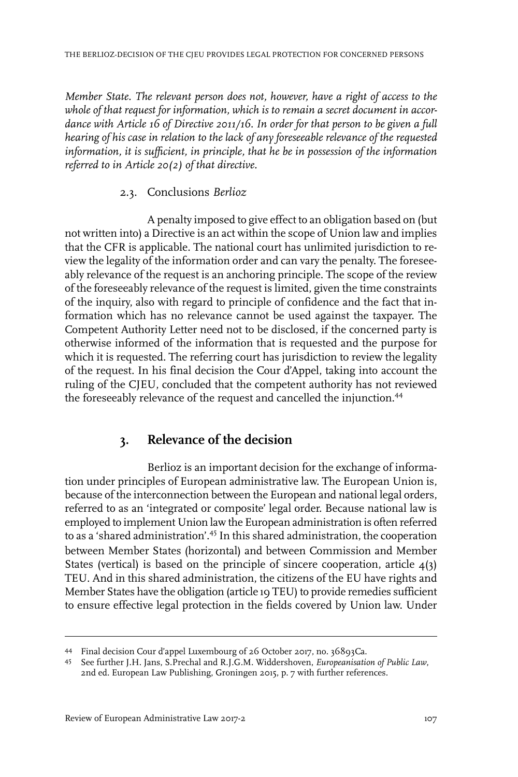*Member State. The relevant person does not, however, have a right of access to the whole of that request for information, which is to remain a secret document in accordance with Article 16 of Directive 2011/16. In order for that person to be given a full hearing of his case in relation to the lack of any foreseeable relevance of the requested information, it is sufficient, in principle, that he be in possession of the information referred to in Article 20(2) of that directive.*

### 2.3. Conclusions *Berlioz*

A penalty imposed to give effect to an obligation based on (but not written into) a Directive is an act within the scope of Union law and implies that the CFR is applicable. The national court has unlimited jurisdiction to review the legality of the information order and can vary the penalty. The foreseeably relevance of the request is an anchoring principle. The scope of the review of the foreseeably relevance of the request is limited, given the time constraints of the inquiry, also with regard to principle of confidence and the fact that information which has no relevance cannot be used against the taxpayer. The Competent Authority Letter need not to be disclosed, if the concerned party is otherwise informed of the information that is requested and the purpose for which it is requested. The referring court has jurisdiction to review the legality of the request. In his final decision the Cour d'Appel, taking into account the ruling of the CJEU, concluded that the competent authority has not reviewed the foreseeably relevance of the request and cancelled the injunction.<sup>44</sup>

# **3. Relevance of the decision**

Berlioz is an important decision for the exchange of information under principles of European administrative law. The European Union is, because of the interconnection between the European and national legal orders, referred to as an 'integrated or composite' legal order. Because national law is employed to implement Union law the European administration is often referred to as a 'shared administration'.<sup>45</sup> In this shared administration, the cooperation between Member States (horizontal) and between Commission and Member States (vertical) is based on the principle of sincere cooperation, article 4(3) TEU. And in this shared administration, the citizens of the EU have rights and Member States have the obligation (article 19 TEU) to provide remedies sufficient to ensure effective legal protection in the fields covered by Union law. Under

Final decision Cour d'appel Luxembourg of 26 October 2017, no. 36893Ca. <sup>44</sup>

See further J.H. Jans, S.Prechal and R.J.G.M. Widdershoven, *Europeanisation of Public Law*, 45 2nd ed. European Law Publishing, Groningen 2015, p. 7 with further references.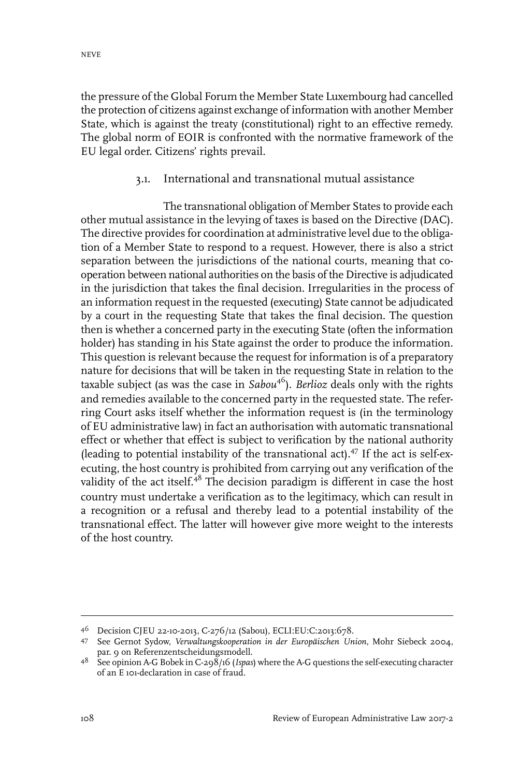the pressure of the Global Forum the Member State Luxembourg had cancelled the protection of citizens against exchange of information with another Member State, which is against the treaty (constitutional) right to an effective remedy. The global norm of EOIR is confronted with the normative framework of the EU legal order. Citizens' rights prevail.

#### 3.1. International and transnational mutual assistance

The transnational obligation of Member States to provide each other mutual assistance in the levying of taxes is based on the Directive (DAC). The directive provides for coordination at administrative level due to the obligation of a Member State to respond to a request. However, there is also a strict separation between the jurisdictions of the national courts, meaning that cooperation between national authorities on the basis of the Directive is adjudicated in the jurisdiction that takes the final decision. Irregularities in the process of an information request in the requested (executing) State cannot be adjudicated by a court in the requesting State that takes the final decision. The question then is whether a concerned party in the executing State (often the information holder) has standing in his State against the order to produce the information. This question is relevant because the request for information is of a preparatory nature for decisions that will be taken in the requesting State in relation to the taxable subject (as was the case in *Sabou*<sup>46</sup>). *Berlioz* deals only with the rights and remedies available to the concerned party in the requested state. The referring Court asks itself whether the information request is (in the terminology of EU administrative law) in fact an authorisation with automatic transnational effect or whether that effect is subject to verification by the national authority (leading to potential instability of the transnational act). $47$  If the act is self-executing, the host country is prohibited from carrying out any verification of the validity of the act itself.<sup>48</sup> The decision paradigm is different in case the host country must undertake a verification as to the legitimacy, which can result in a recognition or a refusal and thereby lead to a potential instability of the transnational effect. The latter will however give more weight to the interests of the host country.

Decision CJEU 22-10-2013, C-276/12 (Sabou), ECLI:EU:C:2013:678. <sup>46</sup>

See Gernot Sydow, *Verwaltungskooperation in der Europäischen Union*, Mohr Siebeck 2004, 47 par. 9 on Referenzentscheidungsmodell.

<sup>&</sup>lt;sup>48</sup> See opinion A-G Bobek in C-298/16 (*Ispas*) where the A-G questions the self-executing character of an E 101-declaration in case of fraud.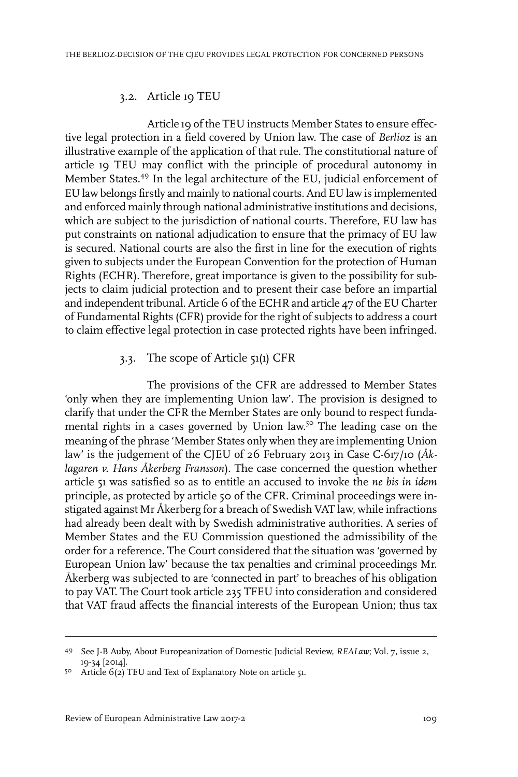#### 3.2. Article 19 TEU

Article 19 of the TEU instructs Member States to ensure effective legal protection in a field covered by Union law. The case of *Berlioz* is an illustrative example of the application of that rule. The constitutional nature of article 19 TEU may conflict with the principle of procedural autonomy in Member States.<sup>49</sup> In the legal architecture of the EU, judicial enforcement of EU law belongs firstly and mainly to national courts. And EU law is implemented and enforced mainly through national administrative institutions and decisions, which are subject to the jurisdiction of national courts. Therefore, EU law has put constraints on national adjudication to ensure that the primacy of EU law is secured. National courts are also the first in line for the execution of rights given to subjects under the European Convention for the protection of Human Rights (ECHR). Therefore, great importance is given to the possibility for subjects to claim judicial protection and to present their case before an impartial and independent tribunal. Article 6 of the ECHR and article 47 of the EU Charter of Fundamental Rights (CFR) provide for the right of subjects to address a court to claim effective legal protection in case protected rights have been infringed.

#### 3.3. The scope of Article 51(1) CFR

The provisions of the CFR are addressed to Member States 'only when they are implementing Union law'. The provision is designed to clarify that under the CFR the Member States are only bound to respect fundamental rights in a cases governed by Union law.<sup>50</sup> The leading case on the meaning of the phrase 'Member States only when they are implementing Union law' is the judgement of the CJEU of 26 February 2013 in Case C-617/10 (*Åklagaren v. Hans Åkerberg Fransson*). The case concerned the question whether article 51 was satisfied so as to entitle an accused to invoke the *ne bis in idem* principle, as protected by article 50 of the CFR. Criminal proceedings were instigated against Mr Åkerberg for a breach of Swedish VAT law, while infractions had already been dealt with by Swedish administrative authorities. A series of Member States and the EU Commission questioned the admissibility of the order for a reference. The Court considered that the situation was 'governed by European Union law' because the tax penalties and criminal proceedings Mr. Åkerberg was subjected to are 'connected in part' to breaches of his obligation to pay VAT. The Court took article 235 TFEU into consideration and considered that VAT fraud affects the financial interests of the European Union; thus tax

<sup>49</sup> See J-B Auby, About Europeanization of Domestic Judicial Review, *REALaw*; Vol. 7, issue 2, 19-34 [2014].

<sup>50</sup> Article  $6(2)$  TEU and Text of Explanatory Note on article 51.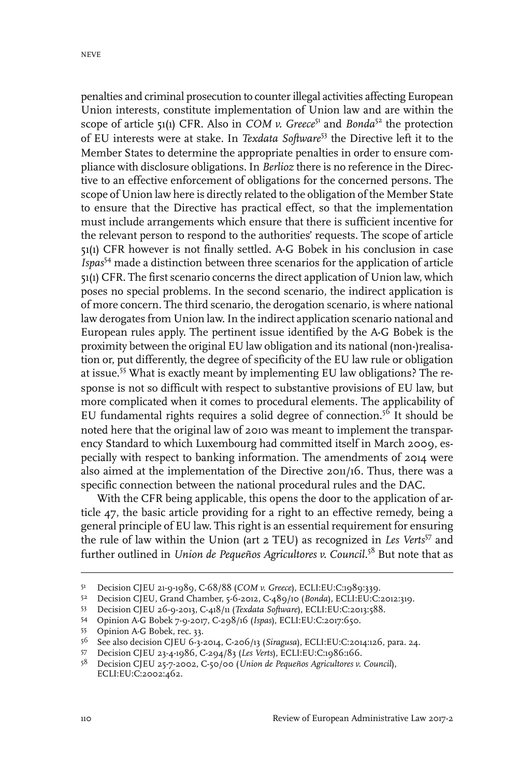penalties and criminal prosecution to counterillegal activities affecting European Union interests, constitute implementation of Union law and are within the scope of article 51(1) CFR. Also in *COM v. Greece*<sup>51</sup> and *Bonda*<sup>52</sup> the protection of EU interests were at stake. In *Texdata Software*<sup>53</sup> the Directive left it to the Member States to determine the appropriate penalties in order to ensure compliance with disclosure obligations. In *Berlioz* there is no reference in the Directive to an effective enforcement of obligations for the concerned persons. The scope of Union law here is directly related to the obligation of the Member State to ensure that the Directive has practical effect, so that the implementation must include arrangements which ensure that there is sufficient incentive for the relevant person to respond to the authorities' requests. The scope of article 51(1) CFR however is not finally settled. A-G Bobek in his conclusion in case *Ispas*<sup>54</sup> made a distinction between three scenarios for the application of article 51(1) CFR. The first scenario concerns the direct application of Union law, which poses no special problems. In the second scenario, the indirect application is of more concern. The third scenario, the derogation scenario, is where national law derogates from Union law. In the indirect application scenario national and European rules apply. The pertinent issue identified by the A-G Bobek is the proximity between the original EU law obligation and its national (non-)realisation or, put differently, the degree of specificity of the EU law rule or obligation at issue.<sup>55</sup> What is exactly meant by implementing EU law obligations? The response is not so difficult with respect to substantive provisions of EU law, but more complicated when it comes to procedural elements. The applicability of EU fundamental rights requires a solid degree of connection.<sup>56</sup> It should be noted here that the original law of 2010 was meant to implement the transparency Standard to which Luxembourg had committed itself in March 2009, especially with respect to banking information. The amendments of 2014 were also aimed at the implementation of the Directive 2011/16. Thus, there was a specific connection between the national procedural rules and the DAC.

With the CFR being applicable, this opens the door to the application of article 47, the basic article providing for a right to an effective remedy, being a general principle of EU law. This right is an essential requirement for ensuring the rule of law within the Union (art 2 TEU) as recognized in *Les Verts*<sup>57</sup> and further outlined in *Union de Pequeños Agricultores v. Council.*<sup>58</sup> But note that as

<sup>51</sup> Decision CJEU 21-9-1989, C-68/88 (*COM v. Greece*), ECLI:EU:C:1989:339.

Decision CJEU, Grand Chamber, 5-6-2012, C-489/10 (*Bonda*), ECLI:EU:C:2012:319. <sup>52</sup>

Decision CJEU 26-9-2013, C-418/11 (*Texdata Software*), ECLI:EU:C:2013:588. <sup>53</sup>

Opinion A-G Bobek 7-9-2017, C-298/16 (*Ispas*), ECLI:EU:C:2017:650. <sup>54</sup>

<sup>55</sup> Opinion A-G Bobek, rec. 33.<br> $56$  See also decision CIEU 6-3-3

See also decision CJEU 6-3-2014, C-206/13 (*Siragusa*), ECLI:EU:C:2014:126, para. 24. <sup>56</sup>

Decision CJEU 23-4-1986, C-294/83 (*Les Verts*), ECLI:EU:C:1986:166. <sup>57</sup>

Decision CJEU 25-7-2002, C-50/00 (*Union de Pequeños Agricultores v. Council*), <sup>58</sup> ECLI:EU:C:2002:462.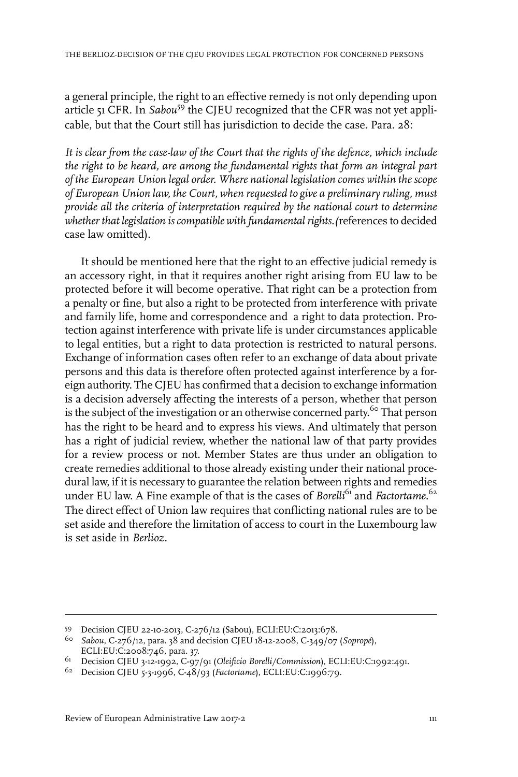a general principle, the right to an effective remedy is not only depending upon article 51 CFR. In *Sabou*<sup>59</sup> the CJEU recognized that the CFR was not yet applicable, but that the Court still has jurisdiction to decide the case. Para. 28:

*It is clear from the case-law of the Court that the rights of the defence, which include the right to be heard, are among the fundamental rights that form an integral part of the European Union legal order. Where national legislation comes within the scope of European Union law, the Court, when requested to give a preliminary ruling, must provide all the criteria of interpretation required by the national court to determine whether that legislation iscompatible with fundamental rights.(*references to decided case law omitted).

It should be mentioned here that the right to an effective judicial remedy is an accessory right, in that it requires another right arising from EU law to be protected before it will become operative. That right can be a protection from a penalty or fine, but also a right to be protected from interference with private and family life, home and correspondence and a right to data protection. Protection against interference with private life is under circumstances applicable to legal entities, but a right to data protection is restricted to natural persons. Exchange of information cases often refer to an exchange of data about private persons and this data is therefore often protected against interference by a foreign authority. The CJEU has confirmed that a decision to exchange information is a decision adversely affecting the interests of a person, whether that person is the subject of the investigation or an otherwise concerned party.<sup>60</sup> That person has the right to be heard and to express his views. And ultimately that person has a right of judicial review, whether the national law of that party provides for a review process or not. Member States are thus under an obligation to create remedies additional to those already existing under their national procedural law, if it is necessary to guarantee the relation between rights and remedies under EU law. A Fine example of that is the cases of *Borelli*<sup>61</sup> and *Factortame*.<sup>62</sup> The direct effect of Union law requires that conflicting national rules are to be set aside and therefore the limitation of access to court in the Luxembourg law is set aside in *Berlioz.*

Decision CJEU 22-10-2013, C-276/12 (Sabou), ECLI:EU:C:2013:678. <sup>59</sup>

*Sabou*, C-276/12, para. 38 and decision CJEU 18-12-2008, C-349/07 (*Sopropé*), 60 ECLI:EU:C:2008:746, para. 37.

Decision CJEU 3-12-1992, C-97/91 (*Oleificio Borelli/Commission*), ECLI:EU:C:1992:491. <sup>61</sup>

<sup>&</sup>lt;sup>62</sup> Decision CJEU 5-3-1996, C-48/93 (*Factortame*), ECLI:EU:C:1996:79.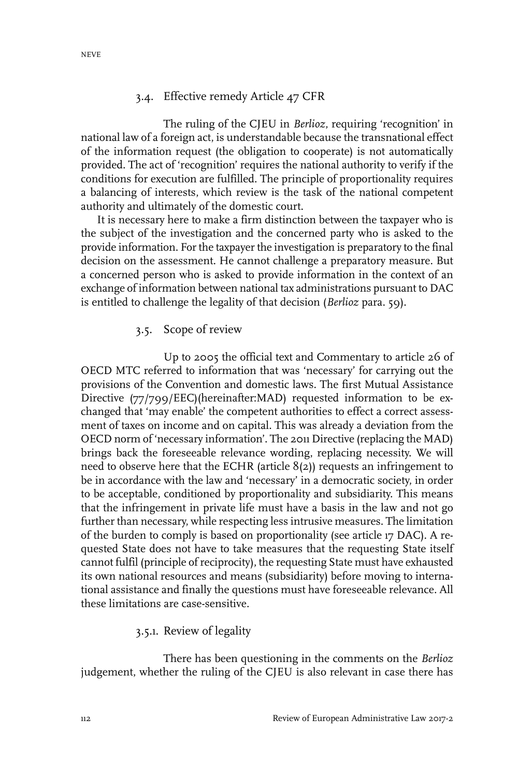#### 3.4. Effective remedy Article 47 CFR

The ruling of the CJEU in *Berlioz*, requiring 'recognition' in national law of a foreign act, is understandable because the transnational effect of the information request (the obligation to cooperate) is not automatically provided. The act of 'recognition' requires the national authority to verify if the conditions for execution are fulfilled. The principle of proportionality requires a balancing of interests, which review is the task of the national competent authority and ultimately of the domestic court.

It is necessary here to make a firm distinction between the taxpayer who is the subject of the investigation and the concerned party who is asked to the provide information. For the taxpayer the investigation is preparatory to the final decision on the assessment. He cannot challenge a preparatory measure. But a concerned person who is asked to provide information in the context of an exchange of information between national tax administrations pursuant to DAC is entitled to challenge the legality of that decision (*Berlioz* para. 59).

#### 3.5. Scope of review

Up to 2005 the official text and Commentary to article 26 of OECD MTC referred to information that was 'necessary' for carrying out the provisions of the Convention and domestic laws. The first Mutual Assistance Directive (77/799/EEC)(hereinafter:MAD) requested information to be exchanged that 'may enable' the competent authorities to effect a correct assessment of taxes on income and on capital. This was already a deviation from the OECD norm of 'necessary information'. The 2011 Directive (replacing the MAD) brings back the foreseeable relevance wording, replacing necessity. We will need to observe here that the ECHR (article 8(2)) requests an infringement to be in accordance with the law and 'necessary' in a democratic society, in order to be acceptable, conditioned by proportionality and subsidiarity. This means that the infringement in private life must have a basis in the law and not go further than necessary, while respecting less intrusive measures. The limitation of the burden to comply is based on proportionality (see article 17 DAC). A requested State does not have to take measures that the requesting State itself cannot fulfil (principle of reciprocity), the requesting State must have exhausted its own national resources and means (subsidiarity) before moving to international assistance and finally the questions must have foreseeable relevance. All these limitations are case-sensitive.

#### 3.5.1. Review of legality

There has been questioning in the comments on the *Berlioz* judgement, whether the ruling of the CJEU is also relevant in case there has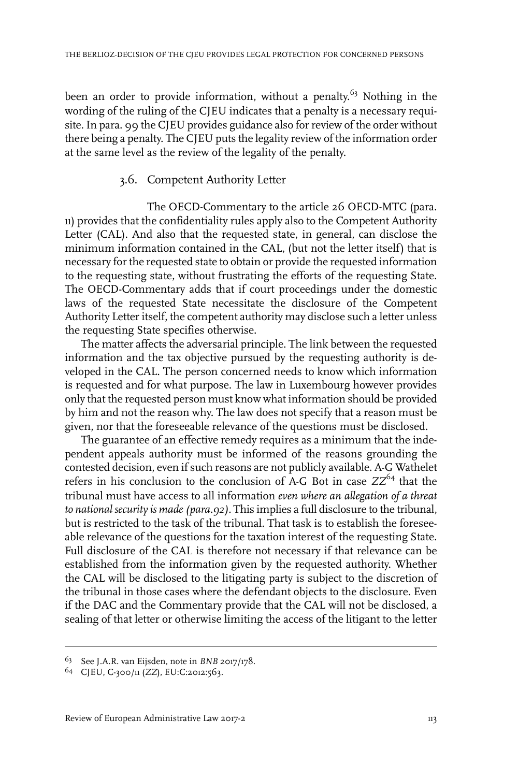been an order to provide information, without a penalty.<sup>63</sup> Nothing in the wording of the ruling of the CJEU indicates that a penalty is a necessary requisite. In para. 99 the CJEU provides guidance also for review of the order without there being a penalty. The CJEU puts the legality review of the information order at the same level as the review of the legality of the penalty.

#### 3.6. Competent Authority Letter

The OECD-Commentary to the article 26 OECD-MTC (para. 11) provides that the confidentiality rules apply also to the Competent Authority Letter (CAL). And also that the requested state, in general, can disclose the minimum information contained in the CAL, (but not the letter itself) that is necessary forthe requested state to obtain or provide the requested information to the requesting state, without frustrating the efforts of the requesting State. The OECD-Commentary adds that if court proceedings under the domestic laws of the requested State necessitate the disclosure of the Competent Authority Letter itself, the competent authority may disclose such a letter unless the requesting State specifies otherwise.

The matter affects the adversarial principle. The link between the requested information and the tax objective pursued by the requesting authority is developed in the CAL. The person concerned needs to know which information is requested and for what purpose. The law in Luxembourg however provides only that the requested person must know what information should be provided by him and not the reason why. The law does not specify that a reason must be given, nor that the foreseeable relevance of the questions must be disclosed.

The guarantee of an effective remedy requires as a minimum that the independent appeals authority must be informed of the reasons grounding the contested decision, even if such reasons are not publicly available. A-G Wathelet refers in his conclusion to the conclusion of A-G Bot in case  $ZZ^{64}$  that the tribunal must have access to all information *even where an allegation of a threat to national security is made (para.92).* This implies a full disclosure to the tribunal, but is restricted to the task of the tribunal. That task is to establish the foreseeable relevance of the questions for the taxation interest of the requesting State. Full disclosure of the CAL is therefore not necessary if that relevance can be established from the information given by the requested authority. Whether the CAL will be disclosed to the litigating party is subject to the discretion of the tribunal in those cases where the defendant objects to the disclosure. Even if the DAC and the Commentary provide that the CAL will not be disclosed, a sealing of that letter or otherwise limiting the access of the litigant to the letter

See J.A.R. van Eijsden, note in *BNB* 2017/178. <sup>63</sup>

<sup>&</sup>lt;sup>64</sup> CJEU, C-300/11 (ZZ), EU:C:2012:563.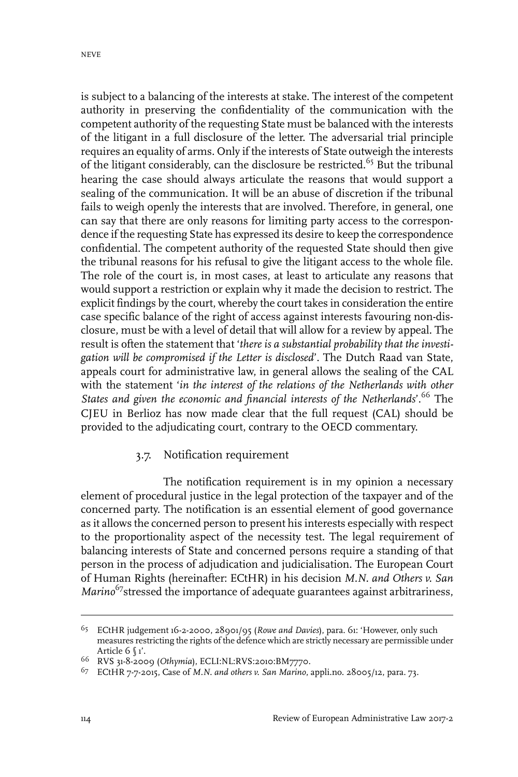is subject to a balancing of the interests at stake. The interest of the competent authority in preserving the confidentiality of the communication with the competent authority of the requesting State must be balanced with the interests of the litigant in a full disclosure of the letter. The adversarial trial principle requires an equality of arms. Only if the interests of State outweigh the interests of the litigant considerably, can the disclosure be restricted.<sup>65</sup> But the tribunal hearing the case should always articulate the reasons that would support a sealing of the communication. It will be an abuse of discretion if the tribunal fails to weigh openly the interests that are involved. Therefore, in general, one can say that there are only reasons for limiting party access to the correspondence if the requesting State has expressed its desire to keep the correspondence confidential. The competent authority of the requested State should then give the tribunal reasons for his refusal to give the litigant access to the whole file. The role of the court is, in most cases, at least to articulate any reasons that would support a restriction or explain why it made the decision to restrict. The explicit findings by the court, whereby the court takes in consideration the entire case specific balance of the right of access against interests favouring non-disclosure, must be with a level of detail that will allow for a review by appeal. The result is often the statement that '*there is a substantial probability that the investigation will be compromised if the Letter is disclosed*'. The Dutch Raad van State, appeals court for administrative law, in general allows the sealing of the CAL with the statement '*in the interest of the relations of the Netherlands with other States and given the economic and financial interests of the Netherlands*'.<sup>66</sup> The CJEU in Berlioz has now made clear that the full request (CAL) should be provided to the adjudicating court, contrary to the OECD commentary.

### 3.7. Notification requirement

The notification requirement is in my opinion a necessary element of procedural justice in the legal protection of the taxpayer and of the concerned party. The notification is an essential element of good governance as it allows the concerned person to present his interests especially with respect to the proportionality aspect of the necessity test. The legal requirement of balancing interests of State and concerned persons require a standing of that person in the process of adjudication and judicialisation. The European Court of Human Rights (hereinafter: ECtHR) in his decision *M.N. and Others v. San Marino*<sup>67</sup>stressed the importance of adequate guarantees against arbitrariness,

ECtHR judgement 16-2-2000, 28901/95 (*Rowe and Davies*), para. 61: 'However, only such 65 measures restricting the rights of the defence which are strictly necessary are permissible under Article 6 § 1'.

RVS 31-8-2009 (*Othymia*), ECLI:NL:RVS:2010:BM7770. <sup>66</sup>

ECtHR 7-7-2015, Case of *M.N. and others v. San Marino*, appli.no. 28005/12, para. 73. <sup>67</sup>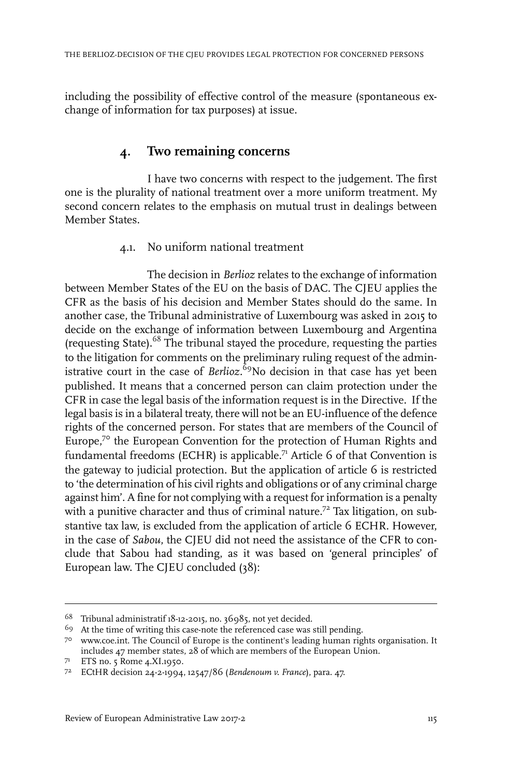including the possibility of effective control of the measure (spontaneous exchange of information for tax purposes) at issue.

# **4. Two remaining concerns**

I have two concerns with respect to the judgement. The first one is the plurality of national treatment over a more uniform treatment. My second concern relates to the emphasis on mutual trust in dealings between Member States.

#### 4.1. No uniform national treatment

The decision in *Berlioz* relates to the exchange of information between Member States of the EU on the basis of DAC. The CJEU applies the CFR as the basis of his decision and Member States should do the same. In another case, the Tribunal administrative of Luxembourg was asked in 2015 to decide on the exchange of information between Luxembourg and Argentina (requesting State).<sup>68</sup> The tribunal stayed the procedure, requesting the parties to the litigation for comments on the preliminary ruling request of the administrative court in the case of *Berlioz.*<sup>69</sup>No decision in that case has yet been published*.* It means that a concerned person can claim protection under the CFR in case the legal basis of the information request is in the Directive. If the legal basis is in a bilateral treaty, there will not be an EU-influence of the defence rights of the concerned person. For states that are members of the Council of Europe,<sup>70</sup> the European Convention for the protection of Human Rights and fundamental freedoms (ECHR) is applicable.<sup>71</sup> Article 6 of that Convention is the gateway to judicial protection. But the application of article 6 is restricted to 'the determination of his civil rights and obligations or of any criminal charge against him'. A fine for not complying with a request for information is a penalty with a punitive character and thus of criminal nature.<sup>72</sup> Tax litigation, on substantive tax law, is excluded from the application of article 6 ECHR. However, in the case of *Sabou*, the CJEU did not need the assistance of the CFR to conclude that Sabou had standing, as it was based on 'general principles' of European law. The CJEU concluded (38):

Tribunal administratif 18-12-2015, no. 36985, not yet decided. <sup>68</sup>

At the time of writing this case-note the referenced case was still pending. <sup>69</sup>

www.coe.int. The Council of Europe is the continent's leading human rights organisation. It 70 includes 47 member states, 28 of which are members of the European Union.

ETS no. 5 Rome 4.XI.1950. <sup>71</sup>

ECtHR decision 24-2-1994, 12547/86 (*Bendenoum v. France*), para. 47. 72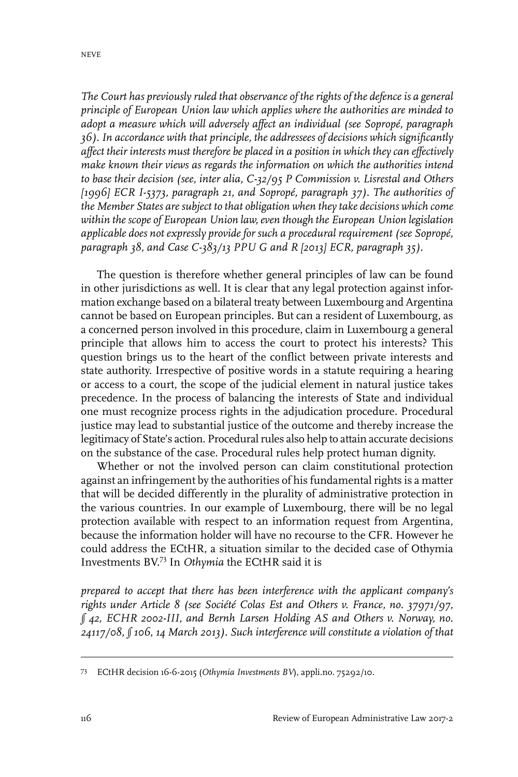*The Court has previously ruled that observance of the rights of the defence is a general principle of European Union law which applies where the authorities are minded to adopt a measure which will adversely affect an individual (see Sopropé, paragraph 36). In accordance with that principle, the addressees of decisions which significantly affect their interests must therefore be placed in a position in which they can effectively make known their views as regards the information on which the authorities intend to base their decision (see, inter alia, C-32/95 P Commission v. Lisrestal and Others [1996] ECR I-5373, paragraph 21, and Sopropé, paragraph 37). The authorities of the Member States are subject to that obligation when they take decisions which come within the scope of European Union law, even though the European Union legislation applicable does not expressly provide for such a procedural requirement (see Sopropé, paragraph 38, and Case C-383/13 PPU G and R [2013] ECR, paragraph 35).*

The question is therefore whether general principles of law can be found in other jurisdictions as well. It is clear that any legal protection against information exchange based on a bilateral treaty between Luxembourg and Argentina cannot be based on European principles. But can a resident of Luxembourg, as a concerned person involved in this procedure, claim in Luxembourg a general principle that allows him to access the court to protect his interests? This question brings us to the heart of the conflict between private interests and state authority. Irrespective of positive words in a statute requiring a hearing or access to a court, the scope of the judicial element in natural justice takes precedence. In the process of balancing the interests of State and individual one must recognize process rights in the adjudication procedure. Procedural justice may lead to substantial justice of the outcome and thereby increase the legitimacy of State's action. Procedural rules also help to attain accurate decisions on the substance of the case. Procedural rules help protect human dignity.

Whether or not the involved person can claim constitutional protection against an infringement by the authorities of his fundamental rights is a matter that will be decided differently in the plurality of administrative protection in the various countries. In our example of Luxembourg, there will be no legal protection available with respect to an information request from Argentina, because the information holder will have no recourse to the CFR. However he could address the ECtHR, a situation similar to the decided case of Othymia Investments BV. <sup>73</sup> In *Othymia* the ECtHR said it is

*prepared to accept that there has been interference with the applicant company's rights under Article 8 (see Société Colas Est and Others v. France, no. 37971/97, § 42, ECHR 2002-III, and Bernh Larsen Holding AS and Others v. Norway, no. 24117/08, § 106, 14 March 2013). Such interference will constitute a violation of that*

ECtHR decision 16-6-2015 (*Othymia Investments BV*), appli.no. 75292/10. <sup>73</sup>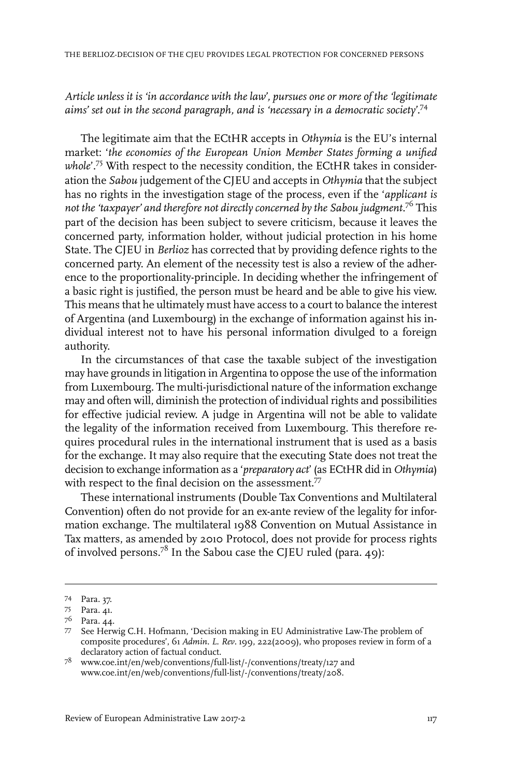#### *Article unless it is 'in accordance with the law', pursues one or more of the 'legitimate aims' set out in the second paragraph, and is 'necessary in a democratic society'.*<sup>74</sup>

The legitimate aim that the ECtHR accepts in *Othymia* is the EU's internal market: '*the economies of the European Union Member States forming a unified* whole'.<sup>75</sup> With respect to the necessity condition, the ECtHR takes in consideration the *Sabou* judgement of the CJEU and accepts in *Othymia* that the subject has no rights in the investigation stage of the process, even if the '*applicant is not the 'taxpayer' and therefore not directly concerned by the Sabou judgment*. <sup>76</sup> This part of the decision has been subject to severe criticism, because it leaves the concerned party, information holder, without judicial protection in his home State. The CJEU in *Berlioz* has corrected that by providing defence rights to the concerned party. An element of the necessity test is also a review of the adherence to the proportionality-principle. In deciding whether the infringement of a basic right is justified, the person must be heard and be able to give his view. This means that he ultimately must have access to a court to balance the interest of Argentina (and Luxembourg) in the exchange of information against his individual interest not to have his personal information divulged to a foreign authority.

In the circumstances of that case the taxable subject of the investigation may have grounds in litigation in Argentina to oppose the use of the information from Luxembourg. The multi-jurisdictional nature of the information exchange may and often will, diminish the protection of individual rights and possibilities for effective judicial review. A judge in Argentina will not be able to validate the legality of the information received from Luxembourg. This therefore requires procedural rules in the international instrument that is used as a basis for the exchange. It may also require that the executing State does not treat the decision to exchange information as a '*preparatory act*' (as ECtHR did in *Othymia*) with respect to the final decision on the assessment.<sup>77</sup>

These international instruments (Double Tax Conventions and Multilateral Convention) often do not provide for an ex-ante review of the legality for information exchange. The multilateral 1988 Convention on Mutual Assistance in Tax matters, as amended by 2010 Protocol, does not provide for process rights of involved persons.<sup>78</sup> In the Sabou case the CJEU ruled (para. 49):

Para. 37. 74

<sup>75</sup> Para. 41.

<sup>76</sup> Para. 44.

<sup>77</sup> See Herwig C.H. Hofmann, 'Decision making in EU Administrative Law-The problem of composite procedures', 61 *Admin. L. Rev*. 199, 222(2009), who proposes review in form of a declaratory action of factual conduct.

www.coe.int/en/web/conventions/full-list/-/conventions/treaty/127 and <sup>78</sup> www.coe.int/en/web/conventions/full-list/-/conventions/treaty/208.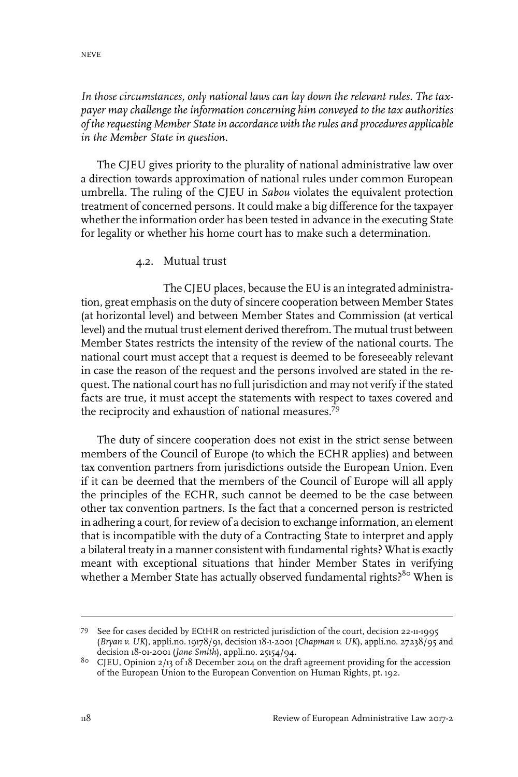#### *In those circumstances, only national laws can lay down the relevant rules. The taxpayer may challenge the information concerning him conveyed to the tax authorities of therequesting Member Statein accordance with therules and procedures applicable in the Member State in question.*

The CJEU gives priority to the plurality of national administrative law over a direction towards approximation of national rules under common European umbrella. The ruling of the CJEU in *Sabou* violates the equivalent protection treatment of concerned persons. It could make a big difference for the taxpayer whether the information order has been tested in advance in the executing State for legality or whether his home court has to make such a determination.

#### 4.2. Mutual trust

The CJEU places, because the EU is an integrated administration, great emphasis on the duty of sincere cooperation between Member States (at horizontal level) and between Member States and Commission (at vertical level) and the mutual trust element derived therefrom. The mutual trust between Member States restricts the intensity of the review of the national courts. The national court must accept that a request is deemed to be foreseeably relevant in case the reason of the request and the persons involved are stated in the request. The national court has no full jurisdiction and may not verify if the stated facts are true, it must accept the statements with respect to taxes covered and the reciprocity and exhaustion of national measures.<sup>79</sup>

The duty of sincere cooperation does not exist in the strict sense between members of the Council of Europe (to which the ECHR applies) and between tax convention partners from jurisdictions outside the European Union. Even if it can be deemed that the members of the Council of Europe will all apply the principles of the ECHR, such cannot be deemed to be the case between other tax convention partners. Is the fact that a concerned person is restricted in adhering a court, for review of a decision to exchange information, an element that is incompatible with the duty of a Contracting State to interpret and apply a bilateral treaty in a manner consistent with fundamental rights? What is exactly meant with exceptional situations that hinder Member States in verifying whether a Member State has actually observed fundamental rights?<sup>80</sup> When is

See for cases decided by ECtHR on restricted jurisdiction of the court, decision 22-11-1995 79 (*Bryan v. UK*), appli.no. 19178/91, decision 18-1-2001 (*Chapman v. UK*), appli.no. 27238/95 and decision 18-01-2001 (*Jane Smith*), appli.no. 25154/94.

<sup>&</sup>lt;sup>80</sup> CJEU, Opinion 2/13 of 18 December 2014 on the draft agreement providing for the accession of the European Union to the European Convention on Human Rights, pt. 192.